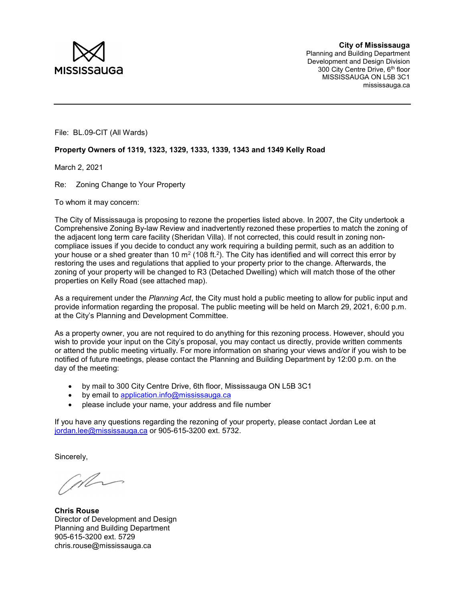

File: BL.09-CIT (All Wards)

## Property Owners of 1319, 1323, 1329, 1333, 1339, 1343 and 1349 Kelly Road

March 2, 2021

Re: Zoning Change to Your Property

To whom it may concern:

The City of Mississauga is proposing to rezone the properties listed above. In 2007, the City undertook a Comprehensive Zoning By-law Review and inadvertently rezoned these properties to match the zoning of the adjacent long term care facility (Sheridan Villa). If not corrected, this could result in zoning noncompliace issues if you decide to conduct any work requiring a building permit, such as an addition to your house or a shed greater than 10 m² (108 ft.²). The City has identified and will correct this error by restoring the uses and regulations that applied to your property prior to the change. Afterwards, the zoning of your property will be changed to R3 (Detached Dwelling) which will match those of the other properties on Kelly Road (see attached map).

As a requirement under the Planning Act, the City must hold a public meeting to allow for public input and provide information regarding the proposal. The public meeting will be held on March 29, 2021, 6:00 p.m. at the City's Planning and Development Committee.

As a property owner, you are not required to do anything for this rezoning process. However, should you wish to provide your input on the City's proposal, you may contact us directly, provide written comments or attend the public meeting virtually. For more information on sharing your views and/or if you wish to be notified of future meetings, please contact the Planning and Building Department by 12:00 p.m. on the day of the meeting:

- by mail to 300 City Centre Drive, 6th floor, Mississauga ON L5B 3C1
- by email to application.info@mississauga.ca
- please include your name, your address and file number

If you have any questions regarding the rezoning of your property, please contact Jordan Lee at jordan.lee@mississauga.ca or 905-615-3200 ext. 5732.

Sincerely,

When

Chris Rouse Director of Development and Design Planning and Building Department 905-615-3200 ext. 5729 chris.rouse@mississauga.ca